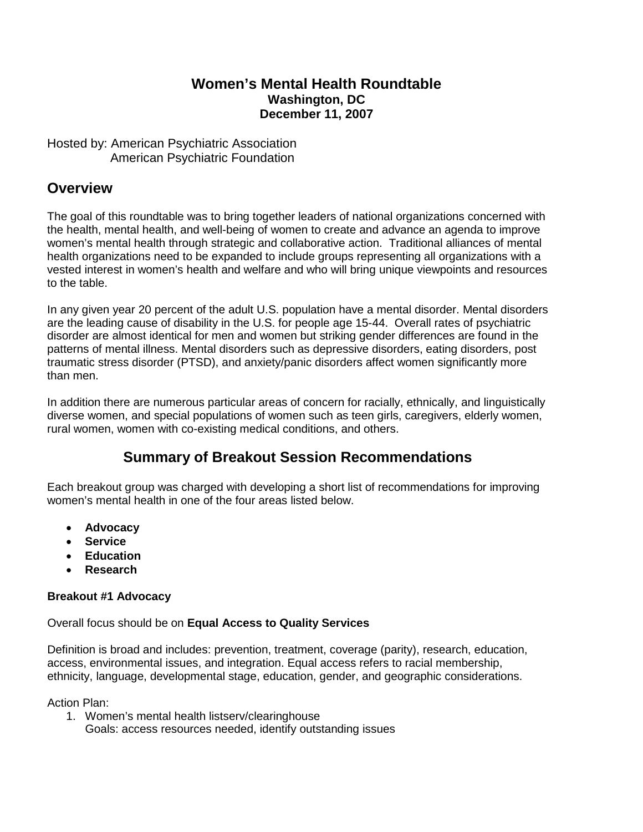## **Women's Mental Health Roundtable Washington, DC December 11, 2007**

Hosted by: American Psychiatric Association American Psychiatric Foundation

## **Overview**

The goal of this roundtable was to bring together leaders of national organizations concerned with the health, mental health, and well-being of women to create and advance an agenda to improve women's mental health through strategic and collaborative action. Traditional alliances of mental health organizations need to be expanded to include groups representing all organizations with a vested interest in women's health and welfare and who will bring unique viewpoints and resources to the table.

In any given year 20 percent of the adult U.S. population have a mental disorder. Mental disorders are the leading cause of disability in the U.S. for people age 15-44. Overall rates of psychiatric disorder are almost identical for men and women but striking gender differences are found in the patterns of mental illness. Mental disorders such as depressive disorders, eating disorders, post traumatic stress disorder (PTSD), and anxiety/panic disorders affect women significantly more than men.

In addition there are numerous particular areas of concern for racially, ethnically, and linguistically diverse women, and special populations of women such as teen girls, caregivers, elderly women, rural women, women with co-existing medical conditions, and others.

# **Summary of Breakout Session Recommendations**

Each breakout group was charged with developing a short list of recommendations for improving women's mental health in one of the four areas listed below.

- **Advocacy**
- **Service**
- **Education**
- **Research**

## **Breakout #1 Advocacy**

Overall focus should be on **Equal Access to Quality Services**

Definition is broad and includes: prevention, treatment, coverage (parity), research, education, access, environmental issues, and integration. Equal access refers to racial membership, ethnicity, language, developmental stage, education, gender, and geographic considerations.

Action Plan:

1. Women's mental health listserv/clearinghouse Goals: access resources needed, identify outstanding issues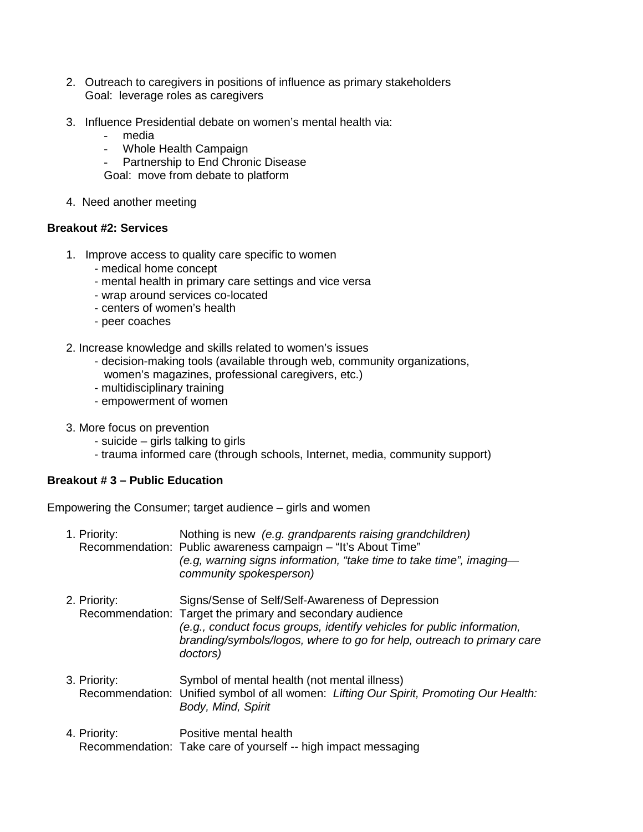- 2. Outreach to caregivers in positions of influence as primary stakeholders Goal: leverage roles as caregivers
- 3. Influence Presidential debate on women's mental health via:
	- media
	- Whole Health Campaign<br>- Partnership to End Chron
	- Partnership to End Chronic Disease
	- Goal: move from debate to platform
- 4. Need another meeting

#### **Breakout #2: Services**

- 1. Improve access to quality care specific to women
	- medical home concept
	- mental health in primary care settings and vice versa
	- wrap around services co-located
	- centers of women's health
	- peer coaches
- 2. Increase knowledge and skills related to women's issues
	- decision-making tools (available through web, community organizations, women's magazines, professional caregivers, etc.)
	- multidisciplinary training
	- empowerment of women
- 3. More focus on prevention
	- suicide girls talking to girls
	- trauma informed care (through schools, Internet, media, community support)

#### **Breakout # 3 – Public Education**

Empowering the Consumer; target audience – girls and women

- 1. Priority: Nothing is new *(e.g. grandparents raising grandchildren)* Recommendation: Public awareness campaign – "It's About Time" *(e.g, warning signs information, "take time to take time", imaging community spokesperson)* 2. Priority: Signs/Sense of Self/Self-Awareness of Depression Recommendation: Target the primary and secondary audience *(e.g., conduct focus groups, identify vehicles for public information, branding/symbols/logos, where to go for help, outreach to primary care doctors)* 3. Priority: Symbol of mental health (not mental illness) Recommendation: Unified symbol of all women: *Lifting Our Spirit, Promoting Our Health: Body, Mind, Spirit* 4. Priority: Positive mental health
	- Recommendation: Take care of yourself -- high impact messaging